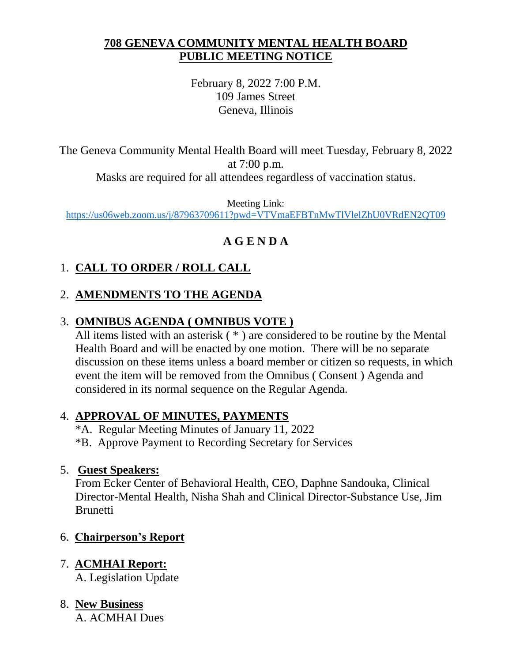### **708 GENEVA COMMUNITY MENTAL HEALTH BOARD PUBLIC MEETING NOTICE**

February 8, 2022 7:00 P.M. 109 James Street Geneva, Illinois

The Geneva Community Mental Health Board will meet Tuesday, February 8, 2022 at 7:00 p.m.

Masks are required for all attendees regardless of vaccination status.

Meeting Link: <https://us06web.zoom.us/j/87963709611?pwd=VTVmaEFBTnMwTlVlelZhU0VRdEN2QT09>

## **A G E N D A**

# 1. **CALL TO ORDER / ROLL CALL**

## 2. **AMENDMENTS TO THE AGENDA**

## 3. **OMNIBUS AGENDA ( OMNIBUS VOTE )**

All items listed with an asterisk ( \* ) are considered to be routine by the Mental Health Board and will be enacted by one motion. There will be no separate discussion on these items unless a board member or citizen so requests, in which event the item will be removed from the Omnibus ( Consent ) Agenda and considered in its normal sequence on the Regular Agenda.

## 4. **APPROVAL OF MINUTES, PAYMENTS**

- \*A. Regular Meeting Minutes of January 11, 2022
- \*B. Approve Payment to Recording Secretary for Services

### 5. **Guest Speakers:**

From Ecker Center of Behavioral Health, CEO, Daphne Sandouka, Clinical Director-Mental Health, Nisha Shah and Clinical Director-Substance Use, Jim **Brunetti** 

## 6. **Chairperson's Report**

# 7. **ACMHAI Report:**

A. Legislation Update

# 8. **New Business**

A. ACMHAI Dues